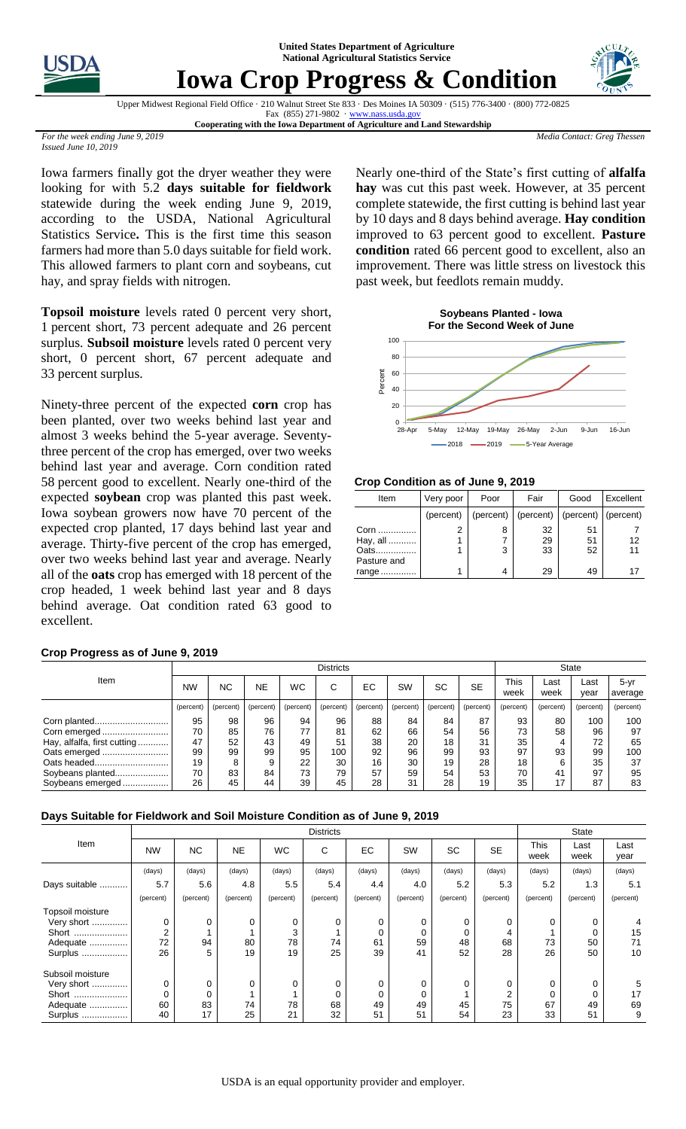**United States Department of Agriculture National Agricultural Statistics Service**



## **Iowa Crop Progress & Condition**



Upper Midwest Regional Field Office · 210 Walnut Street Ste 833 · Des Moines IA 50309 · (515) 776-3400 · (800) 772-0825 Fax  $(855)$  271-9802  $\cdot$  www.nass.usda.go

**Cooperating with the Iowa Department of Agriculture and Land Stewardship**

*Media Contact: Greg Thessen*

*For the week ending June 9, 2019 Issued June 10, 2019*

Iowa farmers finally got the dryer weather they were looking for with 5.2 **days suitable for fieldwork**  statewide during the week ending June 9, 2019, according to the USDA, National Agricultural Statistics Service**.** This is the first time this season farmers had more than 5.0 days suitable for field work. This allowed farmers to plant corn and soybeans, cut hay, and spray fields with nitrogen.

**Topsoil moisture** levels rated 0 percent very short, percent short, 73 percent adequate and 26 percent surplus. **Subsoil moisture** levels rated 0 percent very short, 0 percent short, 67 percent adequate and percent surplus.

Ninety-three percent of the expected **corn** crop has been planted, over two weeks behind last year and almost 3 weeks behind the 5-year average. Seventythree percent of the crop has emerged, over two weeks behind last year and average. Corn condition rated percent good to excellent. Nearly one-third of the expected **soybean** crop was planted this past week. Iowa soybean growers now have 70 percent of the expected crop planted, 17 days behind last year and average. Thirty-five percent of the crop has emerged, over two weeks behind last year and average. Nearly all of the **oats** crop has emerged with 18 percent of the crop headed, 1 week behind last year and 8 days behind average. Oat condition rated 63 good to excellent.

## **Crop Progress as of June 9, 2019**

Nearly one-third of the State's first cutting of **alfalfa hay** was cut this past week. However, at 35 percent complete statewide, the first cutting is behind last year by 10 days and 8 days behind average. **Hay condition** improved to 63 percent good to excellent. **Pasture condition** rated 66 percent good to excellent, also an improvement. There was little stress on livestock this past week, but feedlots remain muddy.



**Crop Condition as of June 9, 2019**

| Item        | Very poor | Poor | Fair                                          | Good | Excellent |  |
|-------------|-----------|------|-----------------------------------------------|------|-----------|--|
|             | (percent) |      | (percent)   (percent)   (percent)   (percent) |      |           |  |
| Corn        | 2         | 8    | 32                                            | 51   |           |  |
| Hay, all    |           |      | 29                                            | 51   | 12        |  |
| Oats        |           | 3    | 33                                            | 52   | 11        |  |
| Pasture and |           |      |                                               |      |           |  |
| range       |           | 4    | 29                                            | 49   | 17        |  |

|                             | <b>Districts</b> |           |           |           |           |           |           |           | <b>State</b> |              |              |              |                     |
|-----------------------------|------------------|-----------|-----------|-----------|-----------|-----------|-----------|-----------|--------------|--------------|--------------|--------------|---------------------|
| Item                        | <b>NW</b>        | <b>NC</b> | <b>NE</b> | <b>WC</b> | С         | EC        | <b>SW</b> | SC        | <b>SE</b>    | This<br>week | ∟ast<br>week | Last<br>year | $5 - yr$<br>average |
|                             | (percent)        | (percent) | (percent) | (percent) | (percent) | (percent) | (percent) | (percent) | (percent)    | (percent)    | (percent)    | (percent)    | (percent)           |
|                             | 95               | 98        | 96        | 94        | 96        | 88        | 84        | 84        | 87           | 93           | 80           | 100          | 100                 |
|                             | 70               | 85        | 76        | 77        | 81        | 62        | 66        | 54        | 56           | 73           | 58           | 96           | 97                  |
| Hay, alfalfa, first cutting | 47               | 52        | 43        | 49        | 51        | 38        | 20        | 18        | 31           | 35           |              | 72           | 65                  |
| Oats emerged                | 99               | 99        | 99        | 95        | 100       | 92        | 96        | 99        | 93           | 97           | 93           | 99           | 100                 |
|                             | 19               | 8         | 9         | 22        | 30        | 16        | 30        | 19        | 28           | 18           |              | 35           | 37                  |
| Soybeans planted            | 70               | 83        | 84        | 73        | 79        | 57        | 59        | 54        | 53           | 70           | 41           | 97           | 95                  |
| Soybeans emerged            | 26               | 45        | 44        | 39        | 45        | 28        | 31        | 28        | 19           | 35           | 17           | 87           | 83                  |

## **Days Suitable for Fieldwork and Soil Moisture Condition as of June 9, 2019**

|                  | <b>Districts</b> |             |           |           |           |           |           |           |                |              | <b>State</b> |              |  |
|------------------|------------------|-------------|-----------|-----------|-----------|-----------|-----------|-----------|----------------|--------------|--------------|--------------|--|
| Item             | <b>NW</b>        | <b>NC</b>   | <b>NE</b> | <b>WC</b> | C         | EC.       | <b>SW</b> | <b>SC</b> | <b>SE</b>      | This<br>week | Last<br>week | Last<br>year |  |
|                  | (days)           | (days)      | (days)    | (days)    | (days)    | (days)    | (days)    | (days)    | (days)         | (days)       | (days)       | (days)       |  |
| Days suitable    | 5.7              | 5.6         | 4.8       | 5.5       | 5.4       | 4.4       | 4.0       | 5.2       | 5.3            | 5.2          | 1.3          | 5.1          |  |
|                  | (percent)        | (percent)   | (percent) | (percent) | (percent) | (percent) | (percent) | (percent) | (percent)      | (percent)    | (percent)    | (percent)    |  |
| Topsoil moisture |                  |             |           |           |           |           |           |           |                |              |              |              |  |
| Very short       | 0                | $\mathbf 0$ | 0         | 0         | 0         | 0         | 0         | 0         | 0              | $\Omega$     | 0            |              |  |
| Short            | 2                |             |           | 3         |           | 0         |           | 0         | 4              |              |              | 15           |  |
| Adequate         | 72               | 94          | 80        | 78        | 74        | 61        | 59        | 48        | 68             | 73           | 50           | 71           |  |
| Surplus          | 26               | 5           | 19        | 19        | 25        | 39        | 41        | 52        | 28             | 26           | 50           | 10           |  |
| Subsoil moisture |                  |             |           |           |           |           |           |           |                |              |              |              |  |
| Very short       | 0                | 0           | 0         | 0         | 0         | 0         |           | 0         | 0              | $\Omega$     | 0            | 5            |  |
| Short            |                  | 0           |           |           | 0         | 0         |           |           | $\overline{2}$ | 0            | 0            | 17           |  |
| Adequate         | 60               | 83          | 74        | 78        | 68        | 49        | 49        | 45        | 75             | 67           | 49           | 69           |  |
| Surplus          | 40               | 17          | 25        | 21        | 32        | 51        | 51        | 54        | 23             | 33           | 51           | 9            |  |